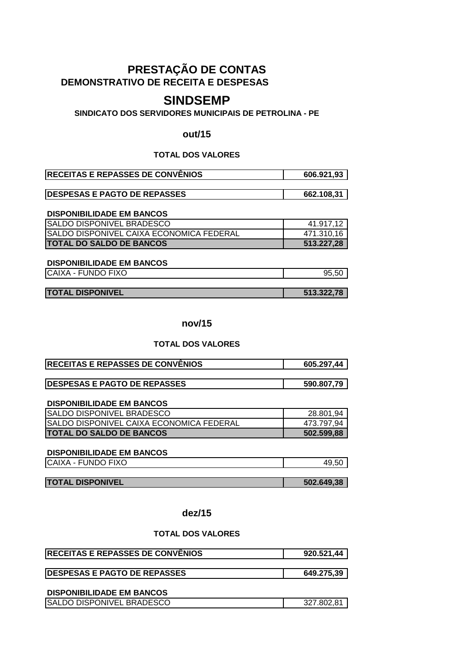# **DEMONSTRATIVO DE RECEITA E DESPESAS PRESTAÇÃO DE CONTAS**

# **SINDSEMP**

# **SINDICATO DOS SERVIDORES MUNICIPAIS DE PETROLINA - PE**

#### **out/15**

#### **TOTAL DOS VALORES**

| <b>RECEITAS E REPASSES DE CONVÊNIOS</b> | 606.921,93 |
|-----------------------------------------|------------|
|                                         |            |

| <b>DESPESAS E PAGTO DE REPASSES</b> | 662.108.31 |
|-------------------------------------|------------|
|                                     |            |

#### **DISPONIBILIDADE EM BANCOS**

| <b>SALDO DISPONIVEL BRADESCO</b>                 | 41.917,12  |
|--------------------------------------------------|------------|
| <b>ISALDO DISPONIVEL CAIXA ECONOMICA FEDERAL</b> | 471.310.16 |
| <b>ITOTAL DO SALDO DE BANCOS</b>                 | 513.227.28 |

#### **DISPONIBILIDADE EM BANCOS**

CAIXA - FUNDO FIXO 85,50

# **TOTAL DISPONIVEL 513.322,78**

# **nov/15**

# **TOTAL DOS VALORES**

| <b>IRECEITAS E REPASSES DE CONVÊNIOS</b> | 605.297,44 |
|------------------------------------------|------------|
|                                          |            |

| <b>DESPESAS E PAGTO DE REPASSES</b> | 590.807,79 |
|-------------------------------------|------------|
|                                     |            |

#### **DISPONIBILIDADE EM BANCOS**

| <b>SALDO DISPONIVEL BRADESCO</b>                 | 28.801,94  |
|--------------------------------------------------|------------|
| <b>ISALDO DISPONIVEL CAIXA ECONOMICA FEDERAL</b> | 473.797,94 |
| <b>ITOTAL DO SALDO DE BANCOS</b>                 | 502.599.88 |

## **DISPONIBILIDADE EM BANCOS**

| CAIXA - FUNDO FIXO |  |
|--------------------|--|
|                    |  |

| <b>TOTAL DISPONIVEL</b> | 502.649,38 |
|-------------------------|------------|

#### **dez/15**

| 649.275,39 |
|------------|
|            |
|            |

| <b>SALDO DISPONIVEL BRADESCO</b> |            |
|----------------------------------|------------|
|                                  | 327.802.81 |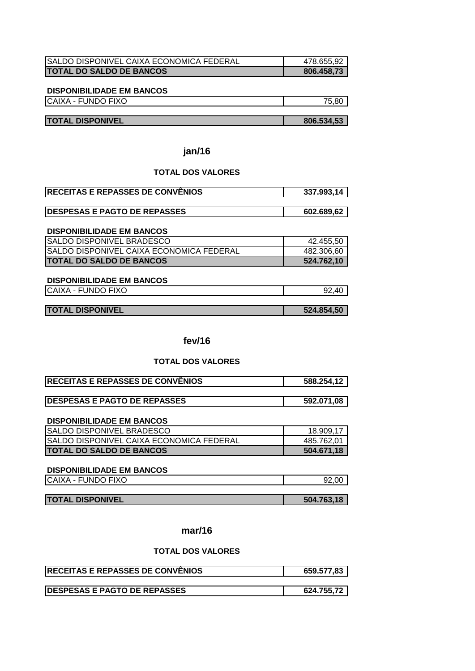| <b>ISALDO DISPONIVEL CAIXA ECONOMICA FEDERAL</b> | 478.655,92 |
|--------------------------------------------------|------------|
| <b>TOTAL DO SALDO DE BANCOS</b>                  | 806.458,73 |

| <b>FUNDO FIXO</b><br><b>ICAIXA</b> | $- -$ |
|------------------------------------|-------|
|                                    |       |

# **TOTAL DISPONIVEL** 806.534,53

# **jan/16**

# **TOTAL DOS VALORES**

| <b>RECEITAS E REPASSES DE CONVÊNIOS</b> | 337.993.14 |
|-----------------------------------------|------------|
|                                         |            |
| <b>DESPESAS E PAGTO DE REPASSES</b>     | 602.689.62 |

# **DISPONIBILIDADE EM BANCOS**

| ISALDO DISPONIVEL BRADESCO                       | 42.455,50  |
|--------------------------------------------------|------------|
| <b>ISALDO DISPONIVEL CAIXA ECONOMICA FEDERAL</b> | 482.306,60 |
| <b>ITOTAL DO SALDO DE BANCOS</b>                 | 524.762.10 |

#### **DISPONIBILIDADE EM BANCOS**

| CAIXA - FUNDO FIXO      |            |
|-------------------------|------------|
|                         |            |
| <b>TOTAL DISPONIVEL</b> | 524.854,50 |

# **fev/16**

#### **TOTAL DOS VALORES**

| <b>RECEITAS E REPASSES DE CONVÊNIOS</b> | 588.254,12 |
|-----------------------------------------|------------|
|                                         |            |

| <b>DESPESAS E PAGTO DE REPASSES</b> | 592.071,08 |
|-------------------------------------|------------|
|                                     |            |

#### **DISPONIBILIDADE EM BANCOS**

| <b>ISALDO DISPONIVEL BRADESCO</b>               | 18.909.17  |
|-------------------------------------------------|------------|
| <b>SALDO DISPONIVEL CAIXA ECONOMICA FEDERAL</b> | 485.762.01 |
| <b>TOTAL DO SALDO DE BANCOS</b>                 | 504.671.18 |

# **DISPONIBILIDADE EM BANCOS**

| <b>CAIXA</b> | ~~ |
|--------------|----|
| FUNDO FIXO   | 0u |
| -            | ୬∠ |
|              |    |

# **TOTAL DISPONIVEL 504.763,18**

# **mar/16**

| <b>RECEITAS E REPASSES DE CONVÊNIOS</b> | 659.577,83 |
|-----------------------------------------|------------|
|                                         |            |
| <b>DESPESAS E PAGTO DE REPASSES</b>     | 624.755.72 |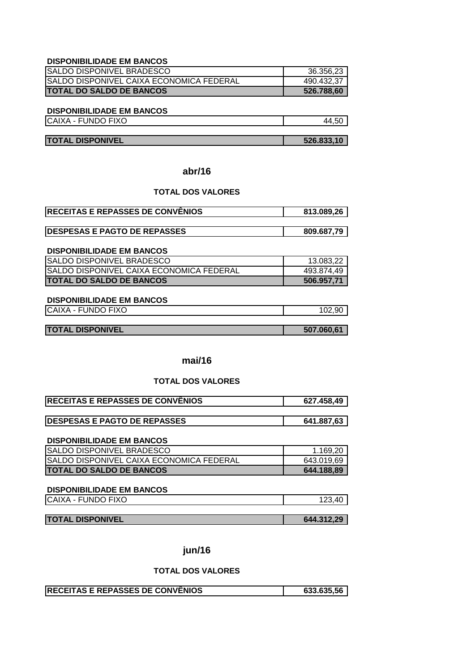| <b>ISALDO DISPONIVEL BRADESCO</b>               | 36.356,23  |
|-------------------------------------------------|------------|
| <b>SALDO DISPONIVEL CAIXA ECONOMICA FEDERAL</b> | 490.432,37 |
| <b>TOTAL DO SALDO DE BANCOS</b>                 | 526.788,60 |

# **DISPONIBILIDADE EM BANCOS**

CAIXA - FUNDO FIXO 44,50

**TOTAL DISPONIVEL 526.833,10**

**abr/16**

# **TOTAL DOS VALORES**

| <b>RECEITAS E REPASSES DE CONVÊNIOS</b> | 813.089.26 |
|-----------------------------------------|------------|
|                                         |            |

| <b>IDESPESAS E PAGTO DE REPASSES</b> | 809.687,79 |
|--------------------------------------|------------|
|--------------------------------------|------------|

#### **DISPONIBILIDADE EM BANCOS**

| <b>ISALDO DISPONIVEL BRADESCO</b>               | 13.083,22  |
|-------------------------------------------------|------------|
| <b>SALDO DISPONIVEL CAIXA ECONOMICA FEDERAL</b> | 493.874,49 |
| <b>ITOTAL DO SALDO DE BANCOS</b>                | 506.957.71 |

#### **DISPONIBILIDADE EM BANCOS**

CAIXA - FUNDO FIXO 102,90

| <b>TOTAL DISPONIVEL</b> | 507.060,61 |
|-------------------------|------------|

# **mai/16**

#### **TOTAL DOS VALORES**

| <b>RECEITAS E REPASSES DE CONVÊNIOS</b> | 627.458.49 |
|-----------------------------------------|------------|
|                                         |            |

|  | <b>IDESPESAS E PAGTO DE REPASSES</b> | .887.63 |
|--|--------------------------------------|---------|
|--|--------------------------------------|---------|

#### **DISPONIBILIDADE EM BANCOS**

| <b>ISALDO DISPONIVEL BRADESCO</b>                | 1.169,20   |
|--------------------------------------------------|------------|
| <b>ISALDO DISPONIVEL CAIXA ECONOMICA FEDERAL</b> | 643.019.69 |
| <b>ITOTAL DO SALDO DE BANCOS</b>                 | 644.188.89 |

# **DISPONIBILIDADE EM BANCOS**

| CAIXA - FUNDO FIXO | 123.40 |
|--------------------|--------|
|                    |        |

# **TOTAL DISPONIVEL 644.312,29**

## **jun/16**

| <b>IRECEITAS E REPASSES DE CONVENIOS</b> | 633.635,56 |
|------------------------------------------|------------|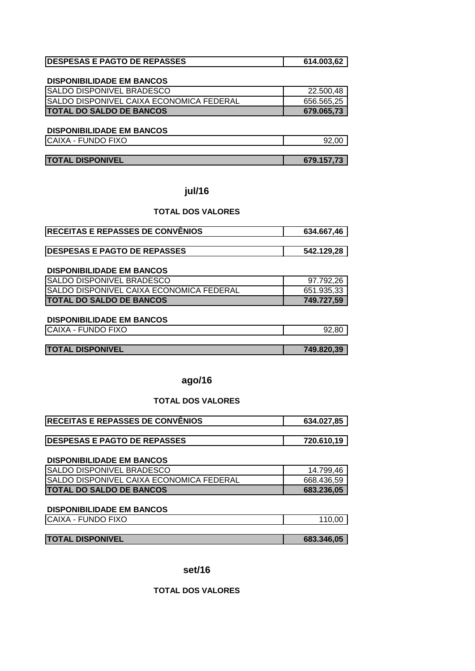| <b>IDESPESAS E PAGTO DE REPASSES</b> | 614.003,62 |
|--------------------------------------|------------|
|                                      |            |

| <b>SALDO DISPONIVEL BRADESCO</b>                | 22.500,48  |
|-------------------------------------------------|------------|
| <b>SALDO DISPONIVEL CAIXA ECONOMICA FEDERAL</b> | 656.565,25 |
| <b>ITOTAL DO SALDO DE BANCOS</b>                | 679.065.73 |

# **DISPONIBILIDADE EM BANCOS**

| <b>CAIXA</b>   | .00 |
|----------------|-----|
| . - FUNDO FIXO | 92  |
|                |     |

#### **TOTAL DISPONIVEL 1998 10:00 10:00 10:00 10:00 10:00 10:00 10:00 10:00 10:00 10:00 10:00 10:00 10:00 10:00 10:00 10:00 10:00 10:00 10:00 10:00 10:00 10:00 10:00 10:00 10:00 10:00 10:00 10:00 10:00 10:00 10:00 10:00 10:00**

**jul/16**

## **TOTAL DOS VALORES**

| <b> RECEITAS E REPASSES DE CONVÊNIOS</b> | 634.667,46 |
|------------------------------------------|------------|
|                                          |            |
| <b>IDESPESAS E PAGTO DE REPASSES</b>     | 542.129,28 |
|                                          |            |
| <b>DISPONIBILIDADE EM BANCOS</b>         |            |
| <b>SALDO DISPONIVEL BRADESCO</b>         | 97.792,26  |
| SALDO DISPONIVEL CAIXA ECONOMICA FEDERAL | 651.935,33 |
| <b>TOTAL DO SALDO DE BANCOS</b>          | 749.727,59 |
|                                          |            |
| <b>DISPONIBILIDADE EM BANCOS</b>         |            |

| CAIXA - FUNDO FIXO      |            |
|-------------------------|------------|
|                         |            |
| <b>TOTAL DISPONIVEL</b> | 749.820,39 |

# **ago/16**

#### **TOTAL DOS VALORES**

| <b>RECEITAS E REPASSES DE CONVÊNIOS</b> | 634.027.85 |
|-----------------------------------------|------------|
|                                         |            |

| <b>IDESPESAS E PAGTO DE REPASSES</b> |            |
|--------------------------------------|------------|
|                                      | 720.610.19 |

# **DISPONIBILIDADE EM BANCOS**

| <b>SALDO DISPONIVEL BRADESCO</b>                | 14.799,46  |
|-------------------------------------------------|------------|
| <b>SALDO DISPONIVEL CAIXA ECONOMICA FEDERAL</b> | 668.436,59 |
| <b>ITOTAL DO SALDO DE BANCOS</b>                | 683.236.05 |

# **DISPONIBILIDADE EM BANCOS**

| CAIXA - FUNDO FIXO |  |
|--------------------|--|
|                    |  |

| <b>TOTAL DISPONIVEL</b> | 683.346,05 |
|-------------------------|------------|

#### **set/16**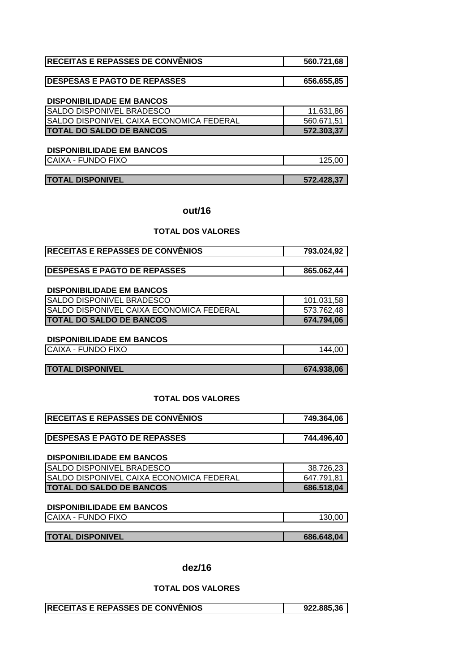| <b>RECEITAS E REPASSES DE CONVÊNIOS</b> | 560.721,68 |
|-----------------------------------------|------------|
|                                         |            |

| <b>IDESPESAS E PAGTO DE REPASSES</b> | 656.655,85 |
|--------------------------------------|------------|
|                                      |            |

| <b>SALDO DISPONIVEL BRADESCO</b>                | 11.631,86  |
|-------------------------------------------------|------------|
| <b>SALDO DISPONIVEL CAIXA ECONOMICA FEDERAL</b> | 560.671.51 |
| <b>TOTAL DO SALDO DE BANCOS</b>                 | 572.303.37 |

#### **DISPONIBILIDADE EM BANCOS**

| CAIXA - FUNDO FIXO | 125.OC<br>∪ס, ט∠ו |
|--------------------|-------------------|
|                    |                   |

| <b>TOTAL DISPONIVEL</b> | 572.428.37 |
|-------------------------|------------|
|                         |            |

# **out/16**

# **TOTAL DOS VALORES**

| <b>RECEITAS E REPASSES DE CONVÊNIOS</b> | 793.024,92 |
|-----------------------------------------|------------|
|                                         |            |

| <b>IDESPESAS E PAGTO DE REPASSES</b> | 865.062. |
|--------------------------------------|----------|
|                                      |          |

# **DISPONIBILIDADE EM BANCOS**

| <b>SALDO DISPONIVEL BRADESCO</b>          | 101.031,58 |
|-------------------------------------------|------------|
| ISALDO DISPONIVEL CAIXA ECONOMICA FEDERAL | 573.762,48 |
| <b>ITOTAL DO SALDO DE BANCOS</b>          | 674.794.06 |

# **DISPONIBILIDADE EM BANCOS**

| <b>L-FUNDO FIXO</b><br><b>CAIXA</b> | AА<br>0 |
|-------------------------------------|---------|
|                                     |         |
|                                     |         |

| <b>TOTAL DISPONIVEL</b> | 674.938,06 |
|-------------------------|------------|
|                         |            |

# **TOTAL DOS VALORES**

| <b>RECEITAS E REPASSES DE CONVÊNIOS</b> | 749.364,06 |
|-----------------------------------------|------------|
|                                         |            |
| <b>IDESPESAS E PAGTO DE REPASSES</b>    | 744.496,40 |

# **DISPONIBILIDADE EM BANCOS**

| <b>SALDO DISPONIVEL BRADESCO</b>                | 38.726,23  |
|-------------------------------------------------|------------|
| <b>SALDO DISPONIVEL CAIXA ECONOMICA FEDERAL</b> | 647.791.81 |
| <b>ITOTAL DO SALDO DE BANCOS</b>                | 686.518,04 |

#### CAIXA - FUNDO FIXO 130,00 **DISPONIBILIDADE EM BANCOS**

| <b>TOTAL DISPONIVEL</b> | 686.648,04 |
|-------------------------|------------|

# **dez/16**

| <b>RECEITAS E REPASSES DE CONVÊNIOS</b> | 922.885.36 |
|-----------------------------------------|------------|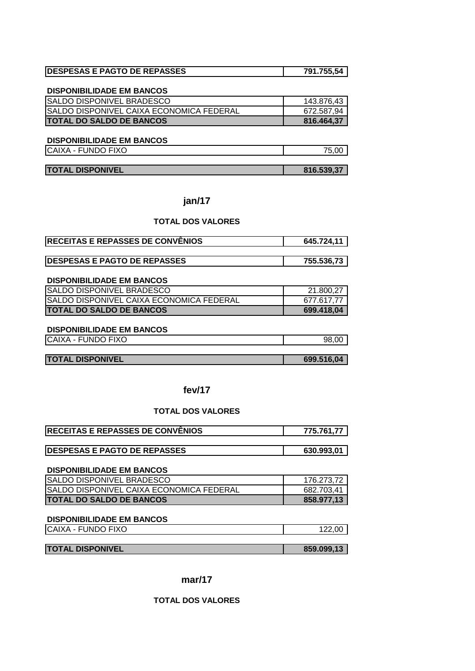| <b>DESPESAS E PAGTO DE REPASSES</b> | 791.755,54 |
|-------------------------------------|------------|

| <b>SALDO DISPONIVEL BRADESCO</b>                 | 143.876,43 |
|--------------------------------------------------|------------|
| <b>ISALDO DISPONIVEL CAIXA ECONOMICA FEDERAL</b> | 672.587,94 |
| <b>ITOTAL DO SALDO DE BANCOS</b>                 | 816.464.37 |

#### **DISPONIBILIDADE EM BANCOS**

CAIXA - FUNDO FIXO 75,00

| <b>TOTAL DISPONIVEL</b> | 816.539,37 |
|-------------------------|------------|

## **jan/17**

#### **TOTAL DOS VALORES**

| <b>IRECEITAS E REPASSES DE CONVENIOS</b> | 645.724,11 |
|------------------------------------------|------------|
|                                          |            |
| <b>DESPESAS E PAGTO DE REPASSES</b>      | 755.536,73 |

# **DISPONIBILIDADE EM BANCOS**

| <b>SALDO DISPONIVEL BRADESCO</b>                | 21.800.27  |
|-------------------------------------------------|------------|
| <b>SALDO DISPONIVEL CAIXA ECONOMICA FEDERAL</b> | 677.617.77 |
| <b>ITOTAL DO SALDO DE BANCOS</b>                | 699.418,04 |

# **DISPONIBILIDADE EM BANCOS**

| <b>CAIXA</b><br>JNDO FIXO<br>ຼ | 98 |
|--------------------------------|----|
|                                |    |

**TOTAL DISPONIVEL** 699.516,04

# **fev/17**

# **TOTAL DOS VALORES**

| <b>RECEITAS E REPASSES DE CONVÊNIOS</b> | 775.761.77 |
|-----------------------------------------|------------|
|                                         |            |

| <b>IDESPESAS E PAGTO DE REPASSES</b> | 630.993.01 |
|--------------------------------------|------------|
|                                      |            |

#### **DISPONIBILIDADE EM BANCOS**

| <b>SALDO DISPONIVEL BRADESCO</b>                | 176.273.72 |
|-------------------------------------------------|------------|
| <b>SALDO DISPONIVEL CAIXA ECONOMICA FEDERAL</b> | 682.703.41 |
| <b>TOTAL DO SALDO DE BANCOS</b>                 | 858.977.13 |

# **DISPONIBILIDADE EM BANCOS**

| <b>ICAIXA - FUNDO FIXO</b> | 22.00      |
|----------------------------|------------|
|                            |            |
| <b>TOTAL DISPONIVEL</b>    | 859.099.13 |

**mar/17**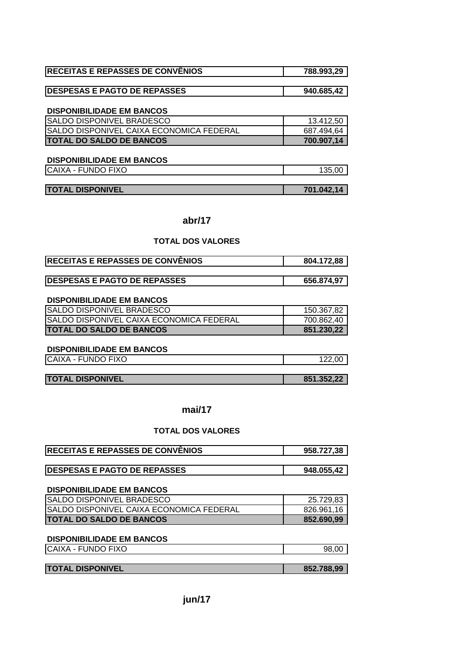| <b>RECEITAS E REPASSES DE CONVÊNIOS</b> | 788.993.29 |
|-----------------------------------------|------------|
|-----------------------------------------|------------|

| <b>IDESPESAS E PAGTO DE REPASSES</b> | 940.685,42 |
|--------------------------------------|------------|

| <b>SALDO DISPONIVEL BRADESCO</b>                | 13.412,50  |
|-------------------------------------------------|------------|
| <b>SALDO DISPONIVEL CAIXA ECONOMICA FEDERAL</b> | 687.494,64 |
| <b>ITOTAL DO SALDO DE BANCOS</b>                | 700.907,14 |

#### **DISPONIBILIDADE EM BANCOS**

| CAIXA - FUNDO FIXO | .00<br>$A \cap F$<br>-SO. |
|--------------------|---------------------------|
|                    |                           |

| <b>TOTAL DISPONIVEL</b> | 701.042,14 |
|-------------------------|------------|

# **abr/17**

# **TOTAL DOS VALORES**

| <b>RECEITAS E REPASSES DE CONVÊNIOS</b> | 804.172,88 |
|-----------------------------------------|------------|
|                                         |            |
| <b>IDESPESAS E PAGTO DE REPASSES</b>    | 656.874,97 |

#### **DISPONIBILIDADE EM BANCOS**

| <b>SALDO DISPONIVEL BRADESCO</b>                 | 150.367,82 |
|--------------------------------------------------|------------|
| <b>ISALDO DISPONIVEL CAIXA ECONOMICA FEDERAL</b> | 700.862,40 |
| <b>ITOTAL DO SALDO DE BANCOS</b>                 | 851.230,22 |

# **DISPONIBILIDADE EM BANCOS**

CAIXA - FUNDO FIXO 122,00

**TOTAL DISPONIVEL** 851.352,22

**mai/17**

# **TOTAL DOS VALORES**

| RECEITAS E REPASSES DE CONVÊNIOS         | 958.727,38 |
|------------------------------------------|------------|
| <b>IDESPESAS E PAGTO DE REPASSES</b>     | 948.055,42 |
| <b>DISPONIBILIDADE EM BANCOS</b>         |            |
| <b>SALDO DISPONIVEL BRADESCO</b>         | 25.729,83  |
| SALDO DISPONIVEL CAIXA ECONOMICA FEDERAL | 826.961,16 |
| <b>TOTAL DO SALDO DE BANCOS</b>          | 852.690,99 |

# **DISPONIBILIDADE EM BANCOS**

| <b>UNDO FIXC</b><br>CAIX/<br>'N<br>-<br>-<br>. $11 \wedge F$ | 98<br>ΩC |
|--------------------------------------------------------------|----------|
|                                                              |          |

**TOTAL DISPONIVEL** 852.788,99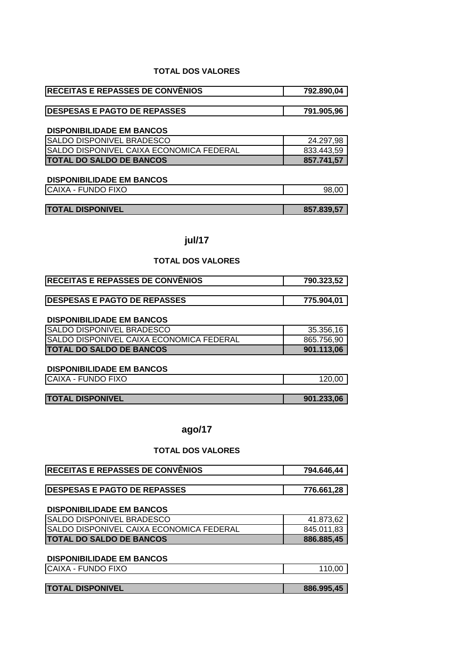# **TOTAL DOS VALORES**

| <b>RECEITAS E REPASSES DE CONVÊNIOS</b> | 792.890,04 |
|-----------------------------------------|------------|
|                                         |            |

| <b>DESPESAS E PAGTO DE REPASSES</b> | 791.905.96 |
|-------------------------------------|------------|

# **DISPONIBILIDADE EM BANCOS**

| <b>SALDO DISPONIVEL BRADESCO</b>                | 24.297.98  |
|-------------------------------------------------|------------|
| <b>SALDO DISPONIVEL CAIXA ECONOMICA FEDERAL</b> | 833.443.59 |
| <b>ITOTAL DO SALDO DE BANCOS</b>                | 857.741,57 |

## **DISPONIBILIDADE EM BANCOS**

| CAIXA - FUNDO FIXO | 98.<br>nr |
|--------------------|-----------|
|                    |           |

| <b>TOTAL DISPONIVEL</b> | 857.839,57 |
|-------------------------|------------|

# **jul/17**

# **TOTAL DOS VALORES**

| <b>IRECEITAS E REPASSES DE CONVENIOS</b> | 790.323,52 |
|------------------------------------------|------------|
|                                          |            |
| <b>IDESPESAS E PAGTO DE REPASSES</b>     | 775.904,01 |

#### **DISPONIBILIDADE EM BANCOS**

| <b>ISALDO DISPONIVEL BRADESCO</b>         | 35.356,16  |
|-------------------------------------------|------------|
| ISALDO DISPONIVEL CAIXA ECONOMICA FEDERAL | 865.756,90 |
| <b>ITOTAL DO SALDO DE BANCOS</b>          | 901.113.06 |

#### **DISPONIBILIDADE EM BANCOS**

| <b>INDO FIXO</b><br><b>CAIXA</b><br>UN'<br>-<br>- | חרי<br>$- -$ |
|---------------------------------------------------|--------------|
|                                                   |              |

| <b>TOTAL DISPONIVEL</b> | 901.233,06 |
|-------------------------|------------|

# **ago/17**

| <b>RECEITAS E REPASSES DE CONVÊNIOS</b>  | 794.646,44 |
|------------------------------------------|------------|
|                                          |            |
| <b>DESPESAS E PAGTO DE REPASSES</b>      | 776.661,28 |
|                                          |            |
| <b>DISPONIBILIDADE EM BANCOS</b>         |            |
| SALDO DISPONIVEL BRADESCO                | 41.873,62  |
| SALDO DISPONIVEL CAIXA ECONOMICA FEDERAL | 845.011,83 |
| <b>TOTAL DO SALDO DE BANCOS</b>          | 886.885,45 |
|                                          |            |
| <b>DISPONIBILIDADE EM BANCOS</b>         |            |

| <b>CAIXA - FUNDO FIXO</b> | ,00 |
|---------------------------|-----|
|                           |     |

| <b>TOTAL DISPONIVEL</b> | 886.995,45 |
|-------------------------|------------|
|                         |            |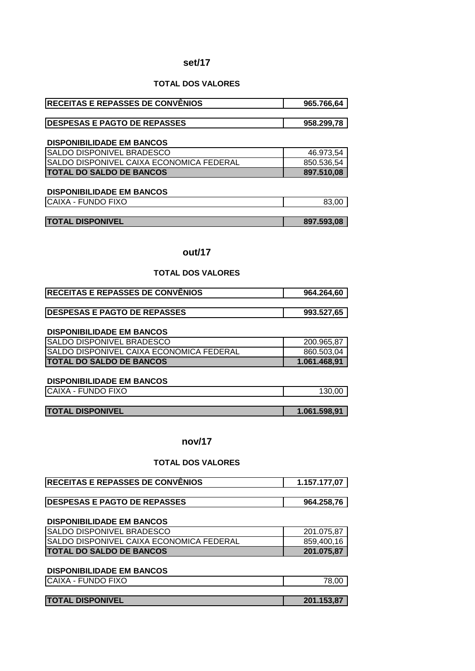#### **set/17**

#### **TOTAL DOS VALORES**

| <b> RECEITAS E REPASSES DE CONVÊNIOS</b> | 965.766,64 |
|------------------------------------------|------------|
|                                          |            |

| <b>DESPESAS E PAGTO DE REPASSES</b> | 958.299.78 |
|-------------------------------------|------------|
|                                     |            |

#### **DISPONIBILIDADE EM BANCOS**

| <b>SALDO DISPONIVEL BRADESCO</b>                | 46.973.54  |
|-------------------------------------------------|------------|
| <b>SALDO DISPONIVEL CAIXA ECONOMICA FEDERAL</b> | 850.536.54 |
| <b>ITOTAL DO SALDO DE BANCOS</b>                | 897.510.08 |

#### **DISPONIBILIDADE EM BANCOS**

| <b>CAIX</b><br><b>FIVO</b><br>$\Lambda$<br>Jſ<br>INI<br>. .<br>יט∧ו<br>`\I<br>$\check{ }$<br>. . |  |
|--------------------------------------------------------------------------------------------------|--|
|                                                                                                  |  |

**TOTAL DISPONIVEL 1997.593,08** 

# **out/17**

#### **TOTAL DOS VALORES**

| <b>RECEITAS E REPASSES DE CONVÊNIOS</b> | 964.264.60 |
|-----------------------------------------|------------|
|                                         |            |

| <b>IDESPESAS E PAGTO DE REPASSES</b> | 993.527,65 |
|--------------------------------------|------------|

# **DISPONIBILIDADE EM BANCOS**

| <b>SALDO DISPONIVEL BRADESCO</b>                 | 200.965.87   |
|--------------------------------------------------|--------------|
| <b>ISALDO DISPONIVEL CAIXA ECONOMICA FEDERAL</b> | 860.503.04   |
| <b>ITOTAL DO SALDO DE BANCOS</b>                 | 1.061.468.91 |

# **DISPONIBILIDADE EM BANCOS**

CAIXA - FUNDO FIXO 130,00

| <b>TOTAL DISPONIVEL</b> | 1.061.598,91 |
|-------------------------|--------------|
|                         |              |

# **nov/17**

## **TOTAL DOS VALORES**

| <b>RECEITAS E REPASSES DE CONVÊNIOS</b>  | 1.157.177,07 |
|------------------------------------------|--------------|
|                                          |              |
| <b>DESPESAS E PAGTO DE REPASSES</b>      | 964.258,76   |
|                                          |              |
| <b>DISPONIBILIDADE EM BANCOS</b>         |              |
| SALDO DISPONIVEL BRADESCO                | 201.075,87   |
| SALDO DISPONIVEL CAIXA ECONOMICA FEDERAL | 859,400,16   |
| <b>TOTAL DO SALDO DE BANCOS</b>          | 201.075,87   |

| <b>ICAIXA - FUNDO FIXO</b> |            |
|----------------------------|------------|
|                            |            |
| <b>TOTAL DISPONIVEL</b>    | 201.153.87 |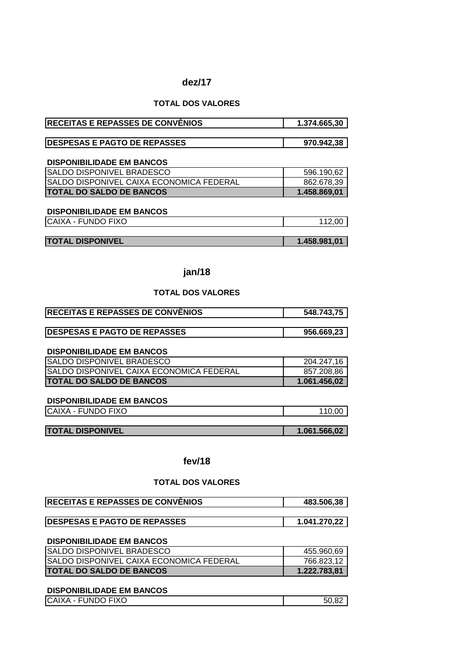#### **dez/17**

# **TOTAL DOS VALORES**

| <b>RECEITAS E REPASSES DE CONVENIOS</b>  | 1.374.665,30 |
|------------------------------------------|--------------|
|                                          |              |
| <b>DESPESAS E PAGTO DE REPASSES</b>      | 970.942,38   |
|                                          |              |
| <b>DISPONIBILIDADE EM BANCOS</b>         |              |
| SALDO DISPONIVEL BRADESCO                | 596.190,62   |
| SALDO DISPONIVEL CAIXA ECONOMICA FEDERAL | 862.678,39   |
| <b>TOTAL DO SALDO DE BANCOS</b>          | 1.458.869,01 |
|                                          |              |
| <b>DISPONIBILIDADE EM BANCOS</b>         |              |
| CAIXA - FUNDO FIXO                       | 112,00       |
|                                          |              |
| <b>TOTAL DISPONIVEL</b>                  | 1.458.981,01 |

**jan/18**

# **TOTAL DOS VALORES**

| <b>RECEITAS E REPASSES DE CONVÊNIOS</b> | 548.743.75 |
|-----------------------------------------|------------|
|                                         |            |

| <b>IDESPESAS E PAGTO DE REPASSES</b> | 956.669.23 |
|--------------------------------------|------------|
|                                      |            |

#### **DISPONIBILIDADE EM BANCOS**

| <b>TOTAL DO SALDO DE BANCOS</b>                 | 1.061.456.02 |
|-------------------------------------------------|--------------|
| <b>SALDO DISPONIVEL CAIXA ECONOMICA FEDERAL</b> | 857.208.86   |
| <b>ISALDO DISPONIVEL BRADESCO</b>               | 204.247.16   |

#### **DISPONIBILIDADE EM BANCOS**

| <b>ICAIXA - FUNDO FIXO</b> | 110.00       |
|----------------------------|--------------|
|                            |              |
| <b>TOTAL DISPONIVEL</b>    | 1.061.566,02 |

**fev/18**

#### **TOTAL DOS VALORES**

| <b>IRECEITAS E REPASSES DE CONVENIOS</b> | 483.506.38   |
|------------------------------------------|--------------|
|                                          |              |
| <b>IDESPESAS E PAGTO DE REPASSES</b>     | 1.041.270.22 |

#### **DISPONIBILIDADE EM BANCOS**

| <b>SALDO DISPONIVEL BRADESCO</b>                | 455.960.69   |
|-------------------------------------------------|--------------|
| <b>SALDO DISPONIVEL CAIXA ECONOMICA FEDERAL</b> | 766.823,12   |
| <b>ITOTAL DO SALDO DE BANCOS</b>                | 1.222.783.81 |

| <b>ICAIXA - FUNDO FIXO</b> | . ററ<br>50.82 |
|----------------------------|---------------|
|                            |               |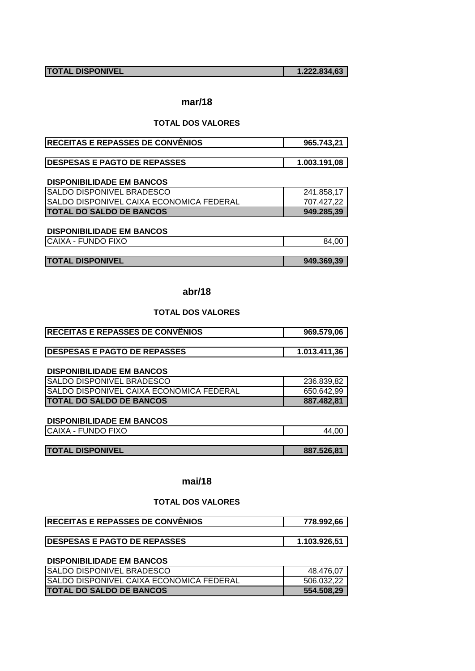**TOTAL DISPONIVEL 1.222.834,63** 

# **mar/18**

#### **TOTAL DOS VALORES**

| <b>RECEITAS E REPASSES DE CONVÊNIOS</b> | 965.743.21 |
|-----------------------------------------|------------|
|                                         |            |

| <b>IDESPESAS E PAGTO DE REPASSES</b> | 1.003.191,08 |
|--------------------------------------|--------------|
|                                      |              |

# **DISPONIBILIDADE EM BANCOS**

| <b>SALDO DISPONIVEL BRADESCO</b>                 | 241.858,17 |
|--------------------------------------------------|------------|
| <b>ISALDO DISPONIVEL CAIXA ECONOMICA FEDERAL</b> | 707.427.22 |
| <b>ITOTAL DO SALDO DE BANCOS</b>                 | 949.285.39 |

# **DISPONIBILIDADE EM BANCOS**

| CAIXA - FUNDO FIXO | .00<br>84 |
|--------------------|-----------|
|--------------------|-----------|

**TOTAL DISPONIVEL 1949.369,39** 

#### **abr/18**

## **TOTAL DOS VALORES**

| 969.579,06   |
|--------------|
|              |
| 1.013.411.36 |
|              |

#### **DISPONIBILIDADE EM BANCOS**

| <b>ISALDO DISPONIVEL BRADESCO</b>               | 236.839,82 |
|-------------------------------------------------|------------|
| <b>SALDO DISPONIVEL CAIXA ECONOMICA FEDERAL</b> | 650.642.99 |
| <b>ITOTAL DO SALDO DE BANCOS</b>                | 887.482.81 |

#### **DISPONIBILIDADE EM BANCOS**

| CAIXA - FUNDO FIXO | .00<br>44 |
|--------------------|-----------|
|                    |           |

| <b>TOTAL DISPONIVEL</b><br>887.526.81 |
|---------------------------------------|
|---------------------------------------|

# **mai/18**

# **TOTAL DOS VALORES**

| <b>IRECEITAS E REPASSES DE CONVENIOS</b> | 778.992.66   |
|------------------------------------------|--------------|
|                                          |              |
| <b>IDESPESAS E PAGTO DE REPASSES</b>     | 1.103.926,51 |

| <b>SALDO DISPONIVEL BRADESCO</b>                | 48.476,07  |
|-------------------------------------------------|------------|
| <b>SALDO DISPONIVEL CAIXA ECONOMICA FEDERAL</b> | 506.032.22 |
| <b>ITOTAL DO SALDO DE BANCOS</b>                | 554.508.29 |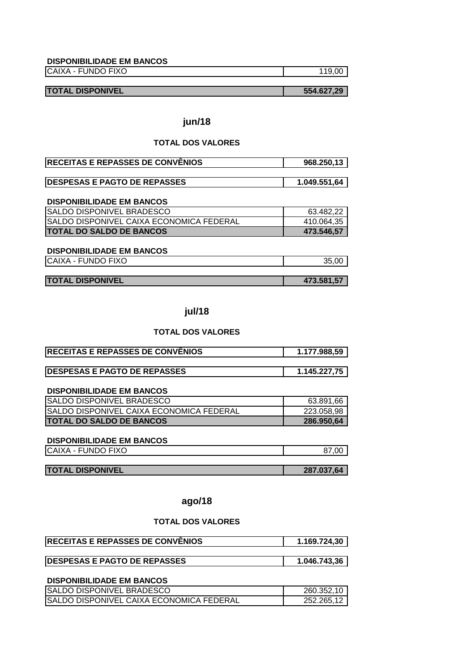CAIXA - FUNDO FIXO 119,00

**TOTAL DISPONIVEL 554.627,29**

# **jun/18**

# **TOTAL DOS VALORES**

| <b>RECEITAS E REPASSES DE CONVÊNIOS</b> | 968.250.13 |
|-----------------------------------------|------------|
|                                         |            |

| <b>IDESPESAS E PAGTO DE REPASSES</b> | 1.049.551,64 |
|--------------------------------------|--------------|
|                                      |              |

#### **DISPONIBILIDADE EM BANCOS**

| <b>SALDO DISPONIVEL BRADESCO</b>          | 63.482,22  |
|-------------------------------------------|------------|
| ISALDO DISPONIVEL CAIXA ECONOMICA FEDERAL | 410.064,35 |
| <b>ITOTAL DO SALDO DE BANCOS</b>          | 473.546.57 |

# **DISPONIBILIDADE EM BANCOS**

CAIXA - FUNDO FIXO 35,00

| <b>TOTAL DISPONIVEL</b> |  |
|-------------------------|--|

# **jul/18**

 $\overline{473.581,57}$ 

#### **TOTAL DOS VALORES**

| <b>RECEITAS E REPASSES DE CONVÊNIOS</b>  | 1.177.988,59 |
|------------------------------------------|--------------|
| <b>DESPESAS E PAGTO DE REPASSES</b>      | 1.145.227,75 |
|                                          |              |
|                                          |              |
| <b>DISPONIBILIDADE EM BANCOS</b>         |              |
| SALDO DISPONIVEL BRADESCO                | 63.891,66    |
| SALDO DISPONIVEL CAIXA ECONOMICA FEDERAL | 223.058,98   |

#### **DISPONIBILIDADE EM BANCOS**

| <b>FUNDO FIXO</b><br><b>CAIXA</b><br><b>LI</b> | 37.OC |
|------------------------------------------------|-------|
|                                                |       |

| <b>TOTAL DISPONIVEL</b> | 287.037,64 |
|-------------------------|------------|

# **ago/18**

#### **TOTAL DOS VALORES**

| <b>IRECEITAS E REPASSES DE CONVENIOS</b> | 1.169.724,30 |
|------------------------------------------|--------------|
|                                          |              |
| <b>DESPESAS E PAGTO DE REPASSES</b>      | 1.046.743,36 |

| <b>ISALDO DISPONIVEL BRADESCO</b>        | 260.352,10 |
|------------------------------------------|------------|
| SALDO DISPONIVEL CAIXA ECONOMICA FEDERAL | 252.265.12 |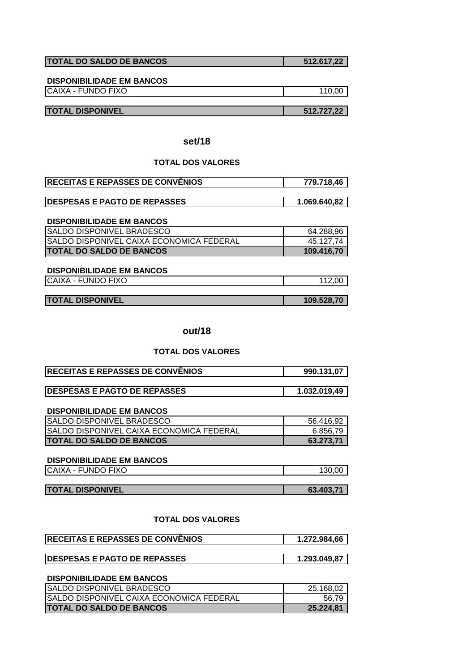| <b>TOTAL DO SALDO DE BANCOS</b> | 512.617,22 |
|---------------------------------|------------|
|                                 |            |

CAIXA - FUNDO FIXO 110,00

#### **TOTAL DISPONIVEL 512.727,22**

# **set/18**

# **TOTAL DOS VALORES**

| <b>RECEITAS E REPASSES DE CONVÊNIOS</b> | 779.718,46 |
|-----------------------------------------|------------|
|                                         |            |

| <b>DESPESAS E PAGTO DE REPASSES</b> | <b>10. פ</b> א |
|-------------------------------------|----------------|
| --ASSEJ                             | 069            |
|                                     |                |

#### **DISPONIBILIDADE EM BANCOS**

| <b>SALDO DISPONIVEL BRADESCO</b>          | 64.288,96  |
|-------------------------------------------|------------|
| ISALDO DISPONIVEL CAIXA ECONOMICA FEDERAL | 45.127.74  |
| <b>ITOTAL DO SALDO DE BANCOS</b>          | 109.416.70 |

#### **DISPONIBILIDADE EM BANCOS**

| CAIXA - FUNDO FIXO |  |
|--------------------|--|
|                    |  |

#### **out/18**

#### **TOTAL DOS VALORES**

| <b>RECEITAS E REPASSES DE CONVÊNIOS</b> | 990.131,07   |
|-----------------------------------------|--------------|
|                                         |              |
| <b>IDESPESAS E PAGTO DE REPASSES</b>    | 1.032.019.49 |

#### **DISPONIBILIDADE EM BANCOS**

| SALDO DISPONIVEL BRADESCO                       | 56.416.92 |
|-------------------------------------------------|-----------|
| <b>SALDO DISPONIVEL CAIXA ECONOMICA FEDERAL</b> | 6.856.79  |
| <b>ITOTAL DO SALDO DE BANCOS</b>                | 63.273.71 |

#### **DISPONIBILIDADE EM BANCOS**

CAIXA - FUNDO FIXO 130,00

| <b>TOTAL DISPONIVEL</b> | 63.403.71 |
|-------------------------|-----------|

#### **TOTAL DOS VALORES**

| <b>RECEITAS E REPASSES DE CONVÊNIOS</b> | 1.272.984,66 |
|-----------------------------------------|--------------|
|                                         |              |

# **DESPESAS E PAGTO DE REPASSES** 1.293.049,87

| <b>ISALDO DISPONIVEL BRADESCO</b>               | 25.168.02 |
|-------------------------------------------------|-----------|
| <b>SALDO DISPONIVEL CAIXA ECONOMICA FEDERAL</b> | 56.79     |
| <b>ITOTAL DO SALDO DE BANCOS</b>                | 25.224.81 |